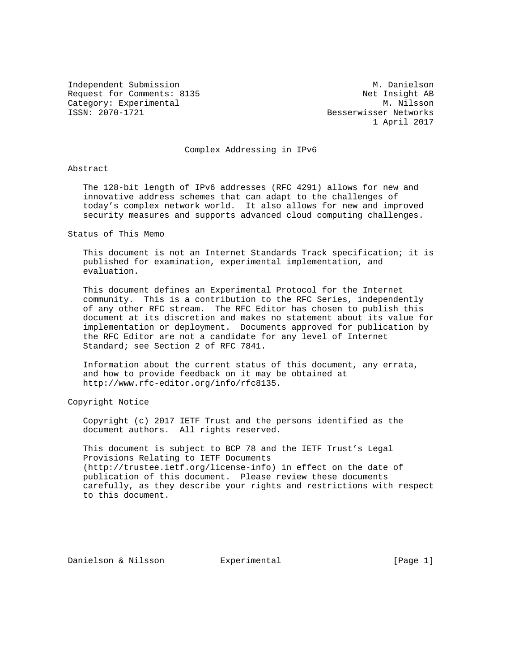Independent Submission M. Danielson M. Danielson Request for Comments: 8135 Net Insight AB Category: Experimental M. Nilsson M. Nilsson<br>
ISSN: 2070-1721 CSSN: 2007-1721

Besserwisser Networks 1 April 2017

# Complex Addressing in IPv6

#### Abstract

 The 128-bit length of IPv6 addresses (RFC 4291) allows for new and innovative address schemes that can adapt to the challenges of today's complex network world. It also allows for new and improved security measures and supports advanced cloud computing challenges.

#### Status of This Memo

 This document is not an Internet Standards Track specification; it is published for examination, experimental implementation, and evaluation.

 This document defines an Experimental Protocol for the Internet community. This is a contribution to the RFC Series, independently of any other RFC stream. The RFC Editor has chosen to publish this document at its discretion and makes no statement about its value for implementation or deployment. Documents approved for publication by the RFC Editor are not a candidate for any level of Internet Standard; see Section 2 of RFC 7841.

 Information about the current status of this document, any errata, and how to provide feedback on it may be obtained at http://www.rfc-editor.org/info/rfc8135.

Copyright Notice

 Copyright (c) 2017 IETF Trust and the persons identified as the document authors. All rights reserved.

 This document is subject to BCP 78 and the IETF Trust's Legal Provisions Relating to IETF Documents (http://trustee.ietf.org/license-info) in effect on the date of publication of this document. Please review these documents carefully, as they describe your rights and restrictions with respect to this document.

Danielson & Nilsson Bxperimental (Page 1)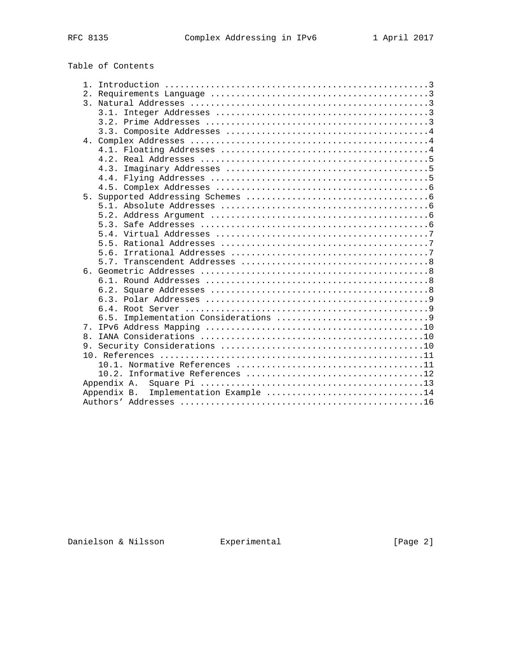# Table of Contents

| $\mathbf{1}$ |                                       |
|--------------|---------------------------------------|
|              |                                       |
|              |                                       |
|              |                                       |
|              |                                       |
|              |                                       |
|              |                                       |
|              |                                       |
|              |                                       |
|              | 4.3.                                  |
|              |                                       |
|              |                                       |
| 5.           |                                       |
|              |                                       |
|              |                                       |
|              |                                       |
|              |                                       |
|              |                                       |
|              |                                       |
|              |                                       |
|              |                                       |
|              |                                       |
|              |                                       |
|              |                                       |
|              |                                       |
|              | 6.5.                                  |
| $7_{\odot}$  |                                       |
| $\mathsf{R}$ |                                       |
|              |                                       |
|              |                                       |
|              |                                       |
|              |                                       |
|              | Appendix A.                           |
|              | Appendix B. Implementation Example 14 |
|              |                                       |

Danielson & Nilsson Experimental [Page 2]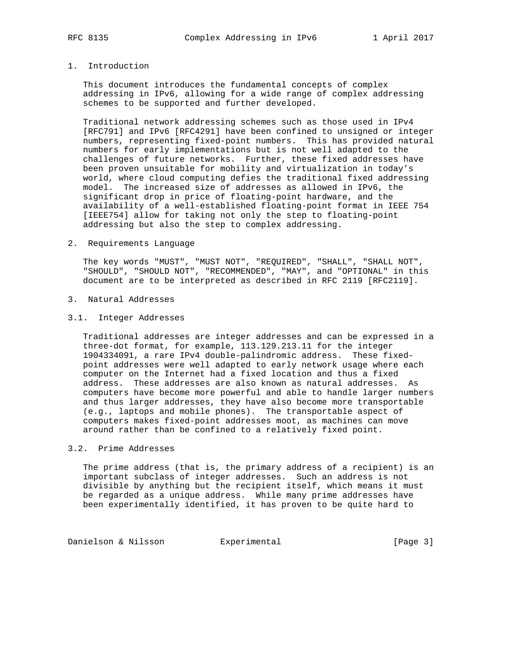# 1. Introduction

 This document introduces the fundamental concepts of complex addressing in IPv6, allowing for a wide range of complex addressing schemes to be supported and further developed.

 Traditional network addressing schemes such as those used in IPv4 [RFC791] and IPv6 [RFC4291] have been confined to unsigned or integer numbers, representing fixed-point numbers. This has provided natural numbers for early implementations but is not well adapted to the challenges of future networks. Further, these fixed addresses have been proven unsuitable for mobility and virtualization in today's world, where cloud computing defies the traditional fixed addressing model. The increased size of addresses as allowed in IPv6, the significant drop in price of floating-point hardware, and the availability of a well-established floating-point format in IEEE 754 [IEEE754] allow for taking not only the step to floating-point addressing but also the step to complex addressing.

2. Requirements Language

 The key words "MUST", "MUST NOT", "REQUIRED", "SHALL", "SHALL NOT", "SHOULD", "SHOULD NOT", "RECOMMENDED", "MAY", and "OPTIONAL" in this document are to be interpreted as described in RFC 2119 [RFC2119].

- 3. Natural Addresses
- 3.1. Integer Addresses

 Traditional addresses are integer addresses and can be expressed in a three-dot format, for example, 113.129.213.11 for the integer 1904334091, a rare IPv4 double-palindromic address. These fixed point addresses were well adapted to early network usage where each computer on the Internet had a fixed location and thus a fixed address. These addresses are also known as natural addresses. As computers have become more powerful and able to handle larger numbers and thus larger addresses, they have also become more transportable (e.g., laptops and mobile phones). The transportable aspect of computers makes fixed-point addresses moot, as machines can move around rather than be confined to a relatively fixed point.

### 3.2. Prime Addresses

 The prime address (that is, the primary address of a recipient) is an important subclass of integer addresses. Such an address is not divisible by anything but the recipient itself, which means it must be regarded as a unique address. While many prime addresses have been experimentally identified, it has proven to be quite hard to

Danielson & Nilsson **Experimental Experimental** [Page 3]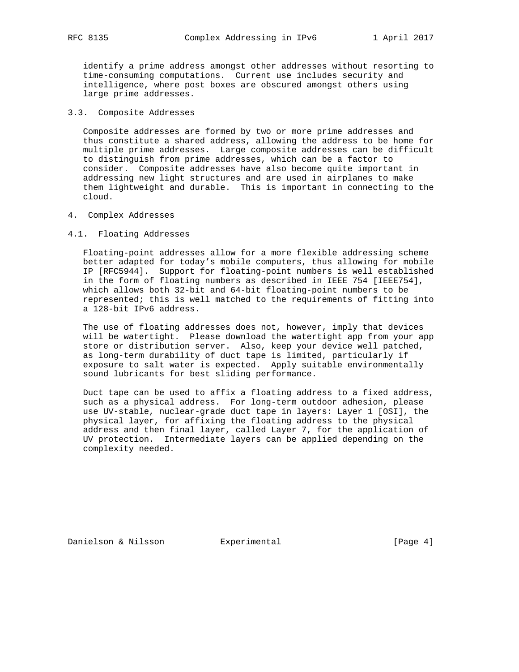identify a prime address amongst other addresses without resorting to time-consuming computations. Current use includes security and intelligence, where post boxes are obscured amongst others using large prime addresses.

# 3.3. Composite Addresses

 Composite addresses are formed by two or more prime addresses and thus constitute a shared address, allowing the address to be home for multiple prime addresses. Large composite addresses can be difficult to distinguish from prime addresses, which can be a factor to consider. Composite addresses have also become quite important in addressing new light structures and are used in airplanes to make them lightweight and durable. This is important in connecting to the cloud.

#### 4. Complex Addresses

#### 4.1. Floating Addresses

 Floating-point addresses allow for a more flexible addressing scheme better adapted for today's mobile computers, thus allowing for mobile IP [RFC5944]. Support for floating-point numbers is well established in the form of floating numbers as described in IEEE 754 [IEEE754], which allows both 32-bit and 64-bit floating-point numbers to be represented; this is well matched to the requirements of fitting into a 128-bit IPv6 address.

 The use of floating addresses does not, however, imply that devices will be watertight. Please download the watertight app from your app store or distribution server. Also, keep your device well patched, as long-term durability of duct tape is limited, particularly if exposure to salt water is expected. Apply suitable environmentally sound lubricants for best sliding performance.

 Duct tape can be used to affix a floating address to a fixed address, such as a physical address. For long-term outdoor adhesion, please use UV-stable, nuclear-grade duct tape in layers: Layer 1 [OSI], the physical layer, for affixing the floating address to the physical address and then final layer, called Layer 7, for the application of UV protection. Intermediate layers can be applied depending on the complexity needed.

Danielson & Nilsson Experimental [Page 4]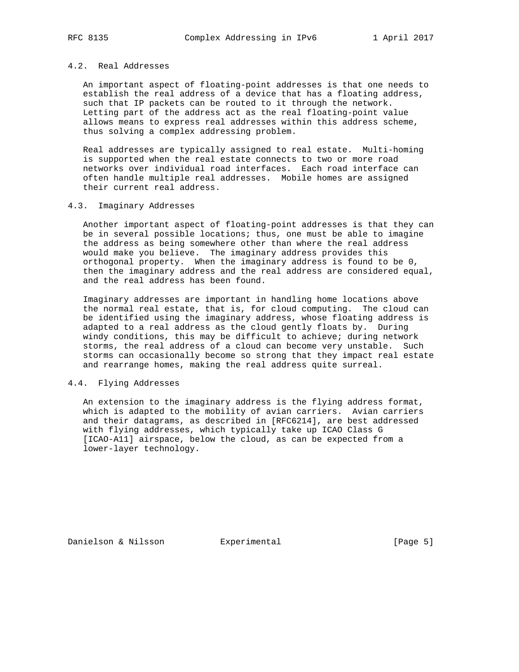# 4.2. Real Addresses

 An important aspect of floating-point addresses is that one needs to establish the real address of a device that has a floating address, such that IP packets can be routed to it through the network. Letting part of the address act as the real floating-point value allows means to express real addresses within this address scheme, thus solving a complex addressing problem.

 Real addresses are typically assigned to real estate. Multi-homing is supported when the real estate connects to two or more road networks over individual road interfaces. Each road interface can often handle multiple real addresses. Mobile homes are assigned their current real address.

#### 4.3. Imaginary Addresses

 Another important aspect of floating-point addresses is that they can be in several possible locations; thus, one must be able to imagine the address as being somewhere other than where the real address would make you believe. The imaginary address provides this orthogonal property. When the imaginary address is found to be 0, then the imaginary address and the real address are considered equal, and the real address has been found.

 Imaginary addresses are important in handling home locations above the normal real estate, that is, for cloud computing. The cloud can be identified using the imaginary address, whose floating address is adapted to a real address as the cloud gently floats by. During windy conditions, this may be difficult to achieve; during network storms, the real address of a cloud can become very unstable. Such storms can occasionally become so strong that they impact real estate and rearrange homes, making the real address quite surreal.

# 4.4. Flying Addresses

 An extension to the imaginary address is the flying address format, which is adapted to the mobility of avian carriers. Avian carriers and their datagrams, as described in [RFC6214], are best addressed with flying addresses, which typically take up ICAO Class G [ICAO-A11] airspace, below the cloud, as can be expected from a lower-layer technology.

Danielson & Nilsson **Experimental Experimental** [Page 5]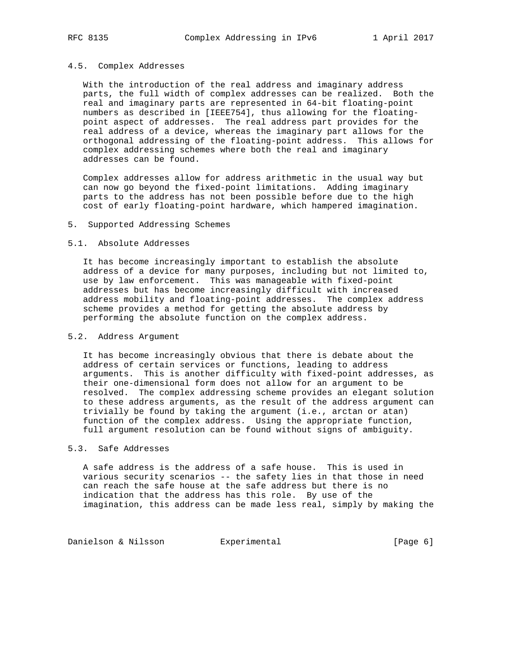#### 4.5. Complex Addresses

 With the introduction of the real address and imaginary address parts, the full width of complex addresses can be realized. Both the real and imaginary parts are represented in 64-bit floating-point numbers as described in [IEEE754], thus allowing for the floating point aspect of addresses. The real address part provides for the real address of a device, whereas the imaginary part allows for the orthogonal addressing of the floating-point address. This allows for complex addressing schemes where both the real and imaginary addresses can be found.

 Complex addresses allow for address arithmetic in the usual way but can now go beyond the fixed-point limitations. Adding imaginary parts to the address has not been possible before due to the high cost of early floating-point hardware, which hampered imagination.

#### 5. Supported Addressing Schemes

#### 5.1. Absolute Addresses

 It has become increasingly important to establish the absolute address of a device for many purposes, including but not limited to, use by law enforcement. This was manageable with fixed-point addresses but has become increasingly difficult with increased address mobility and floating-point addresses. The complex address scheme provides a method for getting the absolute address by performing the absolute function on the complex address.

#### 5.2. Address Argument

 It has become increasingly obvious that there is debate about the address of certain services or functions, leading to address arguments. This is another difficulty with fixed-point addresses, as their one-dimensional form does not allow for an argument to be resolved. The complex addressing scheme provides an elegant solution to these address arguments, as the result of the address argument can trivially be found by taking the argument (i.e., arctan or atan) function of the complex address. Using the appropriate function, full argument resolution can be found without signs of ambiguity.

### 5.3. Safe Addresses

 A safe address is the address of a safe house. This is used in various security scenarios -- the safety lies in that those in need can reach the safe house at the safe address but there is no indication that the address has this role. By use of the imagination, this address can be made less real, simply by making the

Danielson & Nilsson **Experimental Experimental** [Page 6]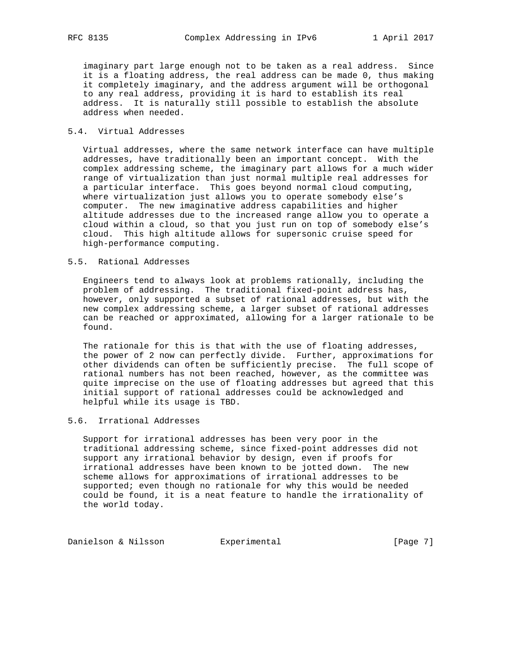imaginary part large enough not to be taken as a real address. Since it is a floating address, the real address can be made 0, thus making it completely imaginary, and the address argument will be orthogonal to any real address, providing it is hard to establish its real address. It is naturally still possible to establish the absolute address when needed.

### 5.4. Virtual Addresses

 Virtual addresses, where the same network interface can have multiple addresses, have traditionally been an important concept. With the complex addressing scheme, the imaginary part allows for a much wider range of virtualization than just normal multiple real addresses for a particular interface. This goes beyond normal cloud computing, where virtualization just allows you to operate somebody else's computer. The new imaginative address capabilities and higher altitude addresses due to the increased range allow you to operate a cloud within a cloud, so that you just run on top of somebody else's cloud. This high altitude allows for supersonic cruise speed for high-performance computing.

# 5.5. Rational Addresses

 Engineers tend to always look at problems rationally, including the problem of addressing. The traditional fixed-point address has, however, only supported a subset of rational addresses, but with the new complex addressing scheme, a larger subset of rational addresses can be reached or approximated, allowing for a larger rationale to be found.

 The rationale for this is that with the use of floating addresses, the power of 2 now can perfectly divide. Further, approximations for other dividends can often be sufficiently precise. The full scope of rational numbers has not been reached, however, as the committee was quite imprecise on the use of floating addresses but agreed that this initial support of rational addresses could be acknowledged and helpful while its usage is TBD.

# 5.6. Irrational Addresses

 Support for irrational addresses has been very poor in the traditional addressing scheme, since fixed-point addresses did not support any irrational behavior by design, even if proofs for irrational addresses have been known to be jotted down. The new scheme allows for approximations of irrational addresses to be supported; even though no rationale for why this would be needed could be found, it is a neat feature to handle the irrationality of the world today.

Danielson & Nilsson **Experimental Experimental** [Page 7]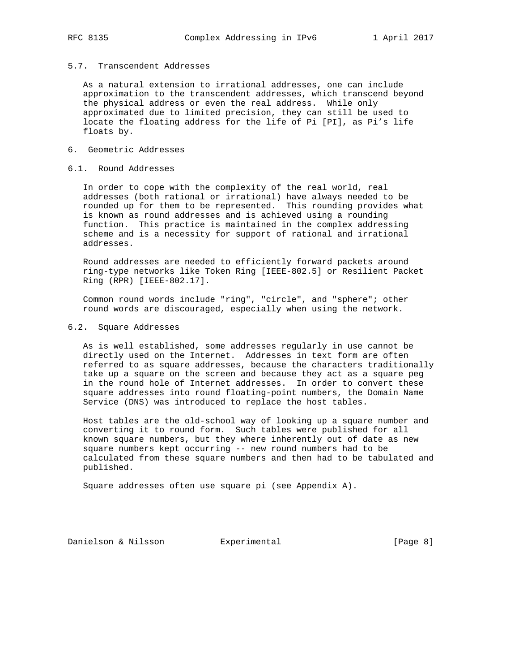# 5.7. Transcendent Addresses

 As a natural extension to irrational addresses, one can include approximation to the transcendent addresses, which transcend beyond the physical address or even the real address. While only approximated due to limited precision, they can still be used to locate the floating address for the life of Pi [PI], as Pi's life floats by.

# 6. Geometric Addresses

### 6.1. Round Addresses

 In order to cope with the complexity of the real world, real addresses (both rational or irrational) have always needed to be rounded up for them to be represented. This rounding provides what is known as round addresses and is achieved using a rounding function. This practice is maintained in the complex addressing scheme and is a necessity for support of rational and irrational addresses.

 Round addresses are needed to efficiently forward packets around ring-type networks like Token Ring [IEEE-802.5] or Resilient Packet Ring (RPR) [IEEE-802.17].

 Common round words include "ring", "circle", and "sphere"; other round words are discouraged, especially when using the network.

### 6.2. Square Addresses

 As is well established, some addresses regularly in use cannot be directly used on the Internet. Addresses in text form are often referred to as square addresses, because the characters traditionally take up a square on the screen and because they act as a square peg in the round hole of Internet addresses. In order to convert these square addresses into round floating-point numbers, the Domain Name Service (DNS) was introduced to replace the host tables.

 Host tables are the old-school way of looking up a square number and converting it to round form. Such tables were published for all known square numbers, but they where inherently out of date as new square numbers kept occurring -- new round numbers had to be calculated from these square numbers and then had to be tabulated and published.

Square addresses often use square pi (see Appendix A).

Danielson & Nilsson Experimental [Page 8]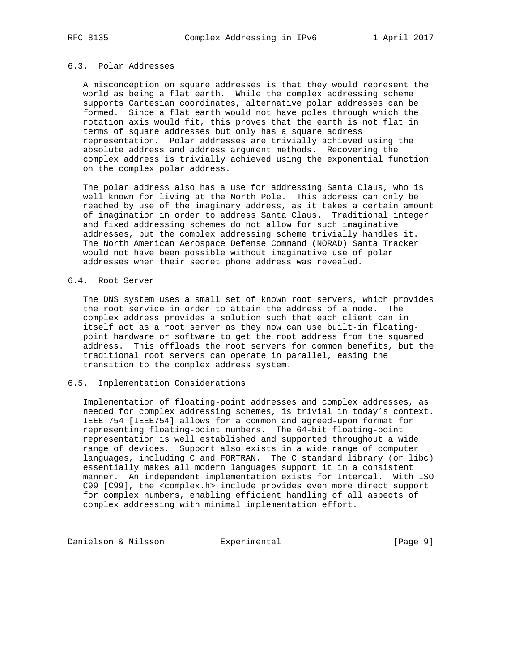# 6.3. Polar Addresses

 A misconception on square addresses is that they would represent the world as being a flat earth. While the complex addressing scheme supports Cartesian coordinates, alternative polar addresses can be formed. Since a flat earth would not have poles through which the rotation axis would fit, this proves that the earth is not flat in terms of square addresses but only has a square address representation. Polar addresses are trivially achieved using the absolute address and address argument methods. Recovering the complex address is trivially achieved using the exponential function on the complex polar address.

 The polar address also has a use for addressing Santa Claus, who is well known for living at the North Pole. This address can only be reached by use of the imaginary address, as it takes a certain amount of imagination in order to address Santa Claus. Traditional integer and fixed addressing schemes do not allow for such imaginative addresses, but the complex addressing scheme trivially handles it. The North American Aerospace Defense Command (NORAD) Santa Tracker would not have been possible without imaginative use of polar addresses when their secret phone address was revealed.

#### 6.4. Root Server

 The DNS system uses a small set of known root servers, which provides the root service in order to attain the address of a node. The complex address provides a solution such that each client can in itself act as a root server as they now can use built-in floating point hardware or software to get the root address from the squared address. This offloads the root servers for common benefits, but the traditional root servers can operate in parallel, easing the transition to the complex address system.

#### 6.5. Implementation Considerations

 Implementation of floating-point addresses and complex addresses, as needed for complex addressing schemes, is trivial in today's context. IEEE 754 [IEEE754] allows for a common and agreed-upon format for representing floating-point numbers. The 64-bit floating-point representation is well established and supported throughout a wide range of devices. Support also exists in a wide range of computer languages, including C and FORTRAN. The C standard library (or libc) essentially makes all modern languages support it in a consistent manner. An independent implementation exists for Intercal. With ISO C99 [C99], the <complex.h> include provides even more direct support for complex numbers, enabling efficient handling of all aspects of complex addressing with minimal implementation effort.

Danielson & Nilsson **Experimental Experimental** [Page 9]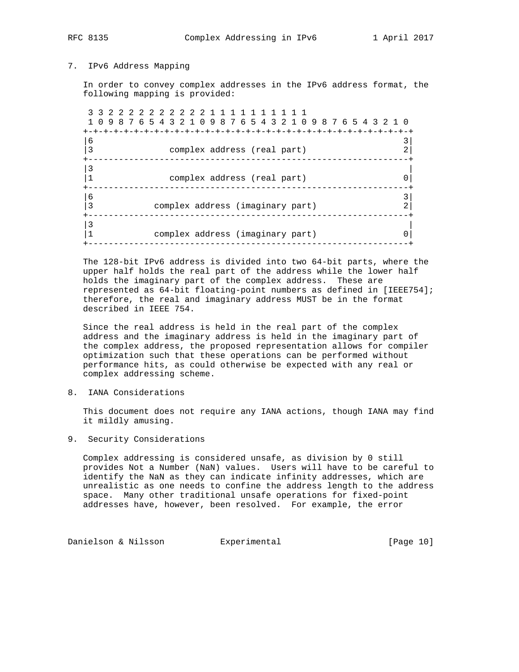RFC 8135 Complex Addressing in IPv6 1 April 2017

### 7. IPv6 Address Mapping

 In order to convey complex addresses in the IPv6 address format, the following mapping is provided:

 3 3 2 2 2 2 2 2 2 2 2 2 1 1 1 1 1 1 1 1 1 1 1 0 9 8 7 6 5 4 3 2 1 0 9 8 7 6 5 4 3 2 1 0 9 8 7 6 5 4 3 2 1 0 +-+-+-+-+-+-+-+-+-+-+-+-+-+-+-+-+-+-+-+-+-+-+-+-+-+-+-+-+-+-+-+-+  $|6 \t3|$  $|3$  complex address (real part)  $2|$  +---------------------------------------------------------------+  $\vert$ 3  $\vert$  |1 complex address (real part) 0| +---------------------------------------------------------------+  $|6 \t3|$  |3 complex address (imaginary part) 2| +---------------------------------------------------------------+  $\vert$ 3  $\vert$  |1 complex address (imaginary part) 0| +---------------------------------------------------------------+

 The 128-bit IPv6 address is divided into two 64-bit parts, where the upper half holds the real part of the address while the lower half holds the imaginary part of the complex address. These are represented as 64-bit floating-point numbers as defined in [IEEE754]; therefore, the real and imaginary address MUST be in the format described in IEEE 754.

 Since the real address is held in the real part of the complex address and the imaginary address is held in the imaginary part of the complex address, the proposed representation allows for compiler optimization such that these operations can be performed without performance hits, as could otherwise be expected with any real or complex addressing scheme.

8. IANA Considerations

 This document does not require any IANA actions, though IANA may find it mildly amusing.

9. Security Considerations

 Complex addressing is considered unsafe, as division by 0 still provides Not a Number (NaN) values. Users will have to be careful to identify the NaN as they can indicate infinity addresses, which are unrealistic as one needs to confine the address length to the address space. Many other traditional unsafe operations for fixed-point addresses have, however, been resolved. For example, the error

Danielson & Nilsson Bxperimental Controller (Page 10)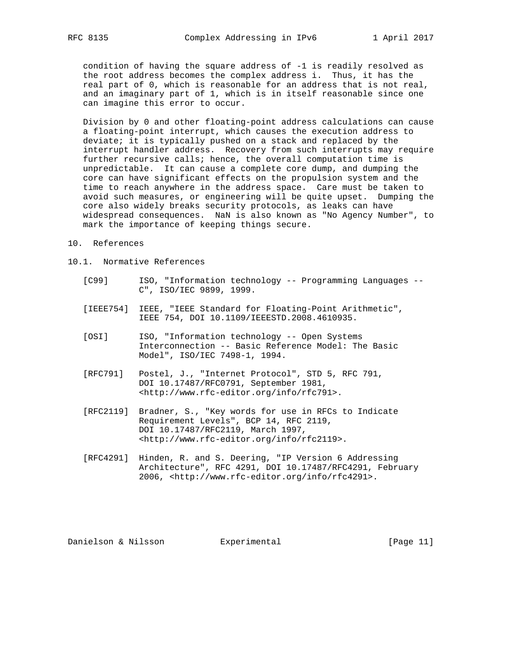condition of having the square address of -1 is readily resolved as the root address becomes the complex address i. Thus, it has the real part of 0, which is reasonable for an address that is not real, and an imaginary part of 1, which is in itself reasonable since one can imagine this error to occur.

 Division by 0 and other floating-point address calculations can cause a floating-point interrupt, which causes the execution address to deviate; it is typically pushed on a stack and replaced by the interrupt handler address. Recovery from such interrupts may require further recursive calls; hence, the overall computation time is unpredictable. It can cause a complete core dump, and dumping the core can have significant effects on the propulsion system and the time to reach anywhere in the address space. Care must be taken to avoid such measures, or engineering will be quite upset. Dumping the core also widely breaks security protocols, as leaks can have widespread consequences. NaN is also known as "No Agency Number", to mark the importance of keeping things secure.

- 10. References
- 10.1. Normative References
	- [C99] ISO, "Information technology -- Programming Languages -- C", ISO/IEC 9899, 1999.
	- [IEEE754] IEEE, "IEEE Standard for Floating-Point Arithmetic", IEEE 754, DOI 10.1109/IEEESTD.2008.4610935.
	- [OSI] ISO, "Information technology -- Open Systems Interconnection -- Basic Reference Model: The Basic Model", ISO/IEC 7498-1, 1994.
	- [RFC791] Postel, J., "Internet Protocol", STD 5, RFC 791, DOI 10.17487/RFC0791, September 1981, <http://www.rfc-editor.org/info/rfc791>.
	- [RFC2119] Bradner, S., "Key words for use in RFCs to Indicate Requirement Levels", BCP 14, RFC 2119, DOI 10.17487/RFC2119, March 1997, <http://www.rfc-editor.org/info/rfc2119>.
	- [RFC4291] Hinden, R. and S. Deering, "IP Version 6 Addressing Architecture", RFC 4291, DOI 10.17487/RFC4291, February 2006, <http://www.rfc-editor.org/info/rfc4291>.

Danielson & Nilsson Experimental [Page 11]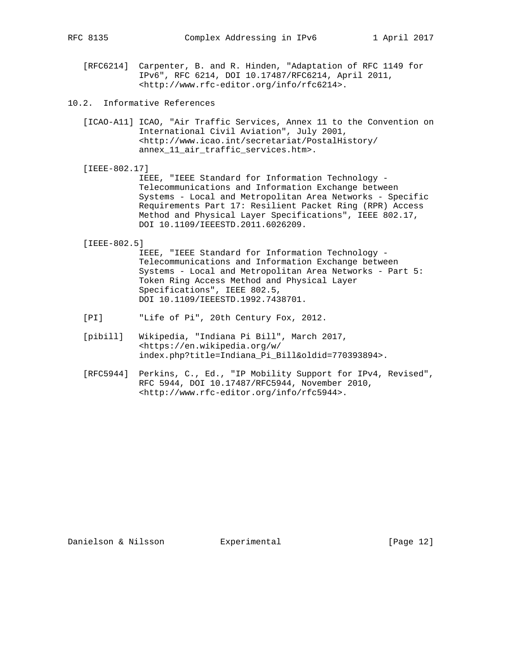- 10.2. Informative References
	- [ICAO-A11] ICAO, "Air Traffic Services, Annex 11 to the Convention on International Civil Aviation", July 2001, <http://www.icao.int/secretariat/PostalHistory/ annex 11 air traffic services.htm>.
	- [IEEE-802.17] IEEE, "IEEE Standard for Information Technology - Telecommunications and Information Exchange between Systems - Local and Metropolitan Area Networks - Specific Requirements Part 17: Resilient Packet Ring (RPR) Access Method and Physical Layer Specifications", IEEE 802.17, DOI 10.1109/IEEESTD.2011.6026209.

[IEEE-802.5]

 IEEE, "IEEE Standard for Information Technology - Telecommunications and Information Exchange between Systems - Local and Metropolitan Area Networks - Part 5: Token Ring Access Method and Physical Layer Specifications", IEEE 802.5, DOI 10.1109/IEEESTD.1992.7438701.

- [PI] "Life of Pi", 20th Century Fox, 2012.
- [pibill] Wikipedia, "Indiana Pi Bill", March 2017, <https://en.wikipedia.org/w/ index.php?title=Indiana\_Pi\_Bill&oldid=770393894>.
- [RFC5944] Perkins, C., Ed., "IP Mobility Support for IPv4, Revised", RFC 5944, DOI 10.17487/RFC5944, November 2010, <http://www.rfc-editor.org/info/rfc5944>.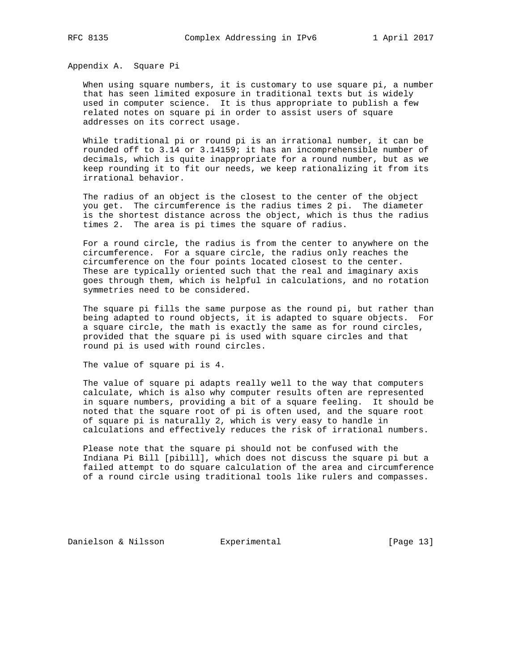Appendix A. Square Pi

 When using square numbers, it is customary to use square pi, a number that has seen limited exposure in traditional texts but is widely used in computer science. It is thus appropriate to publish a few related notes on square pi in order to assist users of square addresses on its correct usage.

 While traditional pi or round pi is an irrational number, it can be rounded off to 3.14 or 3.14159; it has an incomprehensible number of decimals, which is quite inappropriate for a round number, but as we keep rounding it to fit our needs, we keep rationalizing it from its irrational behavior.

 The radius of an object is the closest to the center of the object you get. The circumference is the radius times 2 pi. The diameter is the shortest distance across the object, which is thus the radius times 2. The area is pi times the square of radius.

 For a round circle, the radius is from the center to anywhere on the circumference. For a square circle, the radius only reaches the circumference on the four points located closest to the center. These are typically oriented such that the real and imaginary axis goes through them, which is helpful in calculations, and no rotation symmetries need to be considered.

 The square pi fills the same purpose as the round pi, but rather than being adapted to round objects, it is adapted to square objects. For a square circle, the math is exactly the same as for round circles, provided that the square pi is used with square circles and that round pi is used with round circles.

The value of square pi is 4.

 The value of square pi adapts really well to the way that computers calculate, which is also why computer results often are represented in square numbers, providing a bit of a square feeling. It should be noted that the square root of pi is often used, and the square root of square pi is naturally 2, which is very easy to handle in calculations and effectively reduces the risk of irrational numbers.

 Please note that the square pi should not be confused with the Indiana Pi Bill [pibill], which does not discuss the square pi but a failed attempt to do square calculation of the area and circumference of a round circle using traditional tools like rulers and compasses.

Danielson & Nilsson Experimental [Page 13]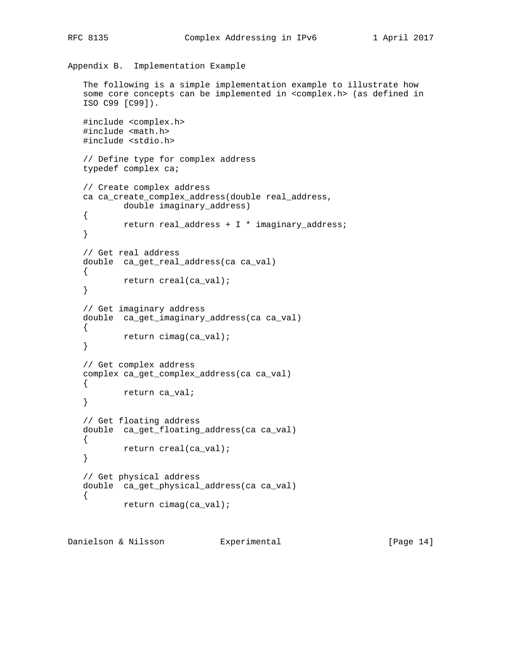```
Appendix B. Implementation Example
    The following is a simple implementation example to illustrate how
    some core concepts can be implemented in <complex.h> (as defined in
    ISO C99 [C99]).
    #include <complex.h>
    #include <math.h>
    #include <stdio.h>
    // Define type for complex address
    typedef complex ca;
    // Create complex address
    ca ca_create_complex_address(double real_address,
            double imaginary_address)
    {
            return real_address + I * imaginary_address;
    }
    // Get real address
    double ca_get_real_address(ca ca_val)
    {
           return creal(ca_val);
    }
    // Get imaginary address
    double ca_get_imaginary_address(ca ca_val)
    {
            return cimag(ca_val);
    }
    // Get complex address
    complex ca_get_complex_address(ca ca_val)
   \left\{ \right. return ca_val;
    }
    // Get floating address
    double ca_get_floating_address(ca ca_val)
   \left\{ \right. return creal(ca_val);
    }
    // Get physical address
    double ca_get_physical_address(ca ca_val)
    {
            return cimag(ca_val);
```
Danielson & Nilsson Experimental [Page 14]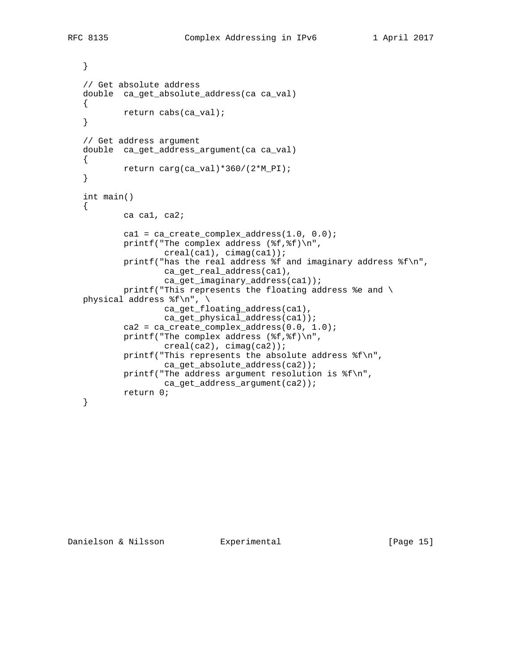```
 }
 // Get absolute address
double ca get absolute address(ca ca val)
 {
         return cabs(ca_val);
 }
 // Get address argument
 double ca_get_address_argument(ca ca_val)
 {
         return carg(ca_val)*360/(2*M_PI);
 }
 int main()
\left\{ \right. ca ca1, ca2;
        cal = ca\_create\_complex\_address(1.0, 0.0);
         printf("The complex address (%f,%f)\n",
                  creal(ca1), cimag(ca1));
         printf("has the real address %f and imaginary address %f\n",
                  ca_get_real_address(ca1),
                  ca_get_imaginary_address(ca1));
        printf("This represents the floating address %e and \
physical address f\n'\n', \
                  ca_get_floating_address(ca1),
                 ca_get_physical_address(ca1));
         ca2 = ca_create_complex_address(0.0, 1.0);
         printf("The complex address (%f,%f)\n",
                  creal(ca2), cimag(ca2));
         printf("This represents the absolute address %f\n",
                  ca_get_absolute_address(ca2));
        printf("The address argument resolution is f\n",
                 ca_get_address_argument(ca2));
         return 0;
 }
```